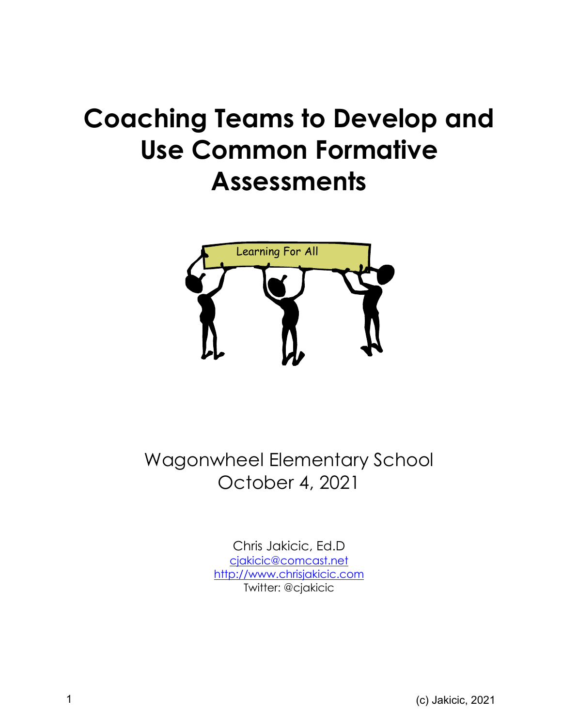# **Coaching Teams to Develop and Use Common Formative Assessments**



Wagonwheel Elementary School October 4, 2021

> Chris Jakicic, Ed.D cjakicic@comcast.net http://www.chrisjakicic.com Twitter: @cjakicic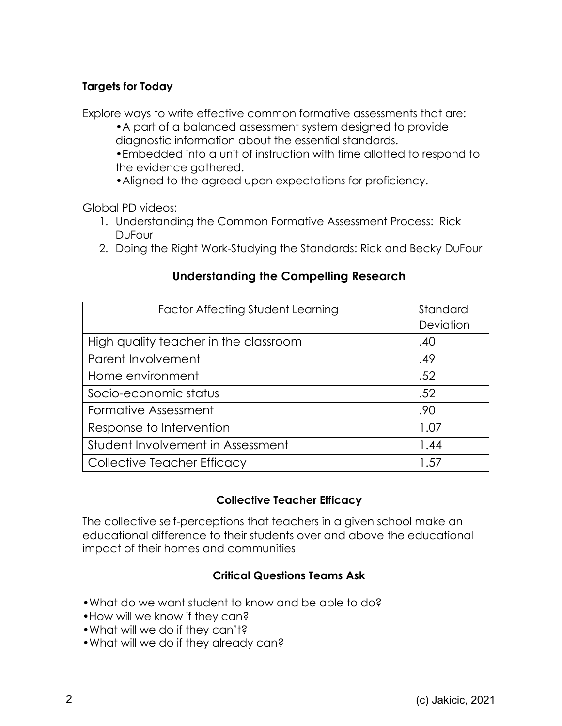# **Targets for Today**

Explore ways to write effective common formative assessments that are:

•A part of a balanced assessment system designed to provide diagnostic information about the essential standards.

•Embedded into a unit of instruction with time allotted to respond to the evidence gathered.

•Aligned to the agreed upon expectations for proficiency.

Global PD videos:

- 1. Understanding the Common Formative Assessment Process: Rick DuFour
- 2. Doing the Right Work-Studying the Standards: Rick and Becky DuFour

# **Understanding the Compelling Research**

| <b>Factor Affecting Student Learning</b> | Standard  |
|------------------------------------------|-----------|
|                                          | Deviation |
| High quality teacher in the classroom    | .40       |
| Parent Involvement                       | .49       |
| Home environment                         | .52       |
| Socio-economic status                    | .52       |
| Formative Assessment                     | .90       |
| Response to Intervention                 | 1.07      |
| Student Involvement in Assessment        | 1.44      |
| Collective Teacher Efficacy              | 1.57      |

## **Collective Teacher Efficacy**

The collective self-perceptions that teachers in a given school make an educational difference to their students over and above the educational impact of their homes and communities

## **Critical Questions Teams Ask**

- •What do we want student to know and be able to do?
- •How will we know if they can?
- •What will we do if they can't?
- •What will we do if they already can?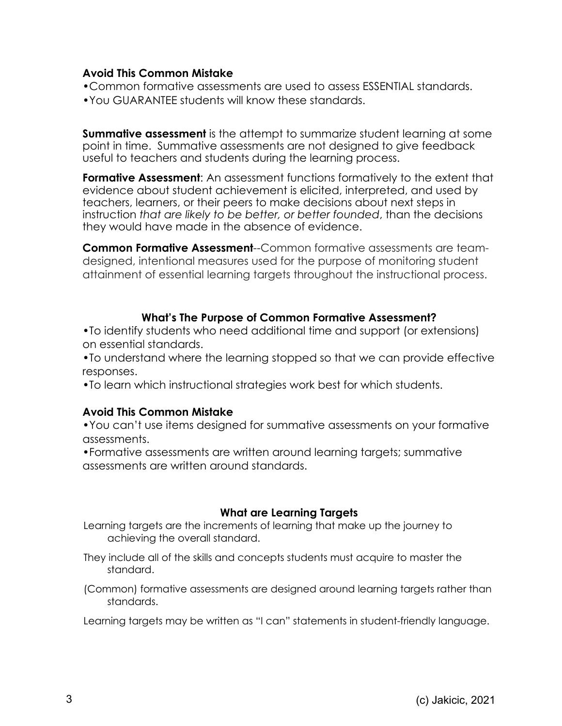#### **Avoid This Common Mistake**

- •Common formative assessments are used to assess ESSENTIAL standards.
- •You GUARANTEE students will know these standards.

**Summative assessment** is the attempt to summarize student learning at some point in time. Summative assessments are not designed to give feedback useful to teachers and students during the learning process.

**Formative Assessment**: An assessment functions formatively to the extent that evidence about student achievement is elicited, interpreted, and used by teachers, learners, or their peers to make decisions about next steps in instruction *that are likely to be better, or better founded*, than the decisions they would have made in the absence of evidence.

**Common Formative Assessment**--Common formative assessments are teamdesigned, intentional measures used for the purpose of monitoring student attainment of essential learning targets throughout the instructional process.

## **What's The Purpose of Common Formative Assessment?**

•To identify students who need additional time and support (or extensions) on essential standards.

•To understand where the learning stopped so that we can provide effective responses.

•To learn which instructional strategies work best for which students.

## **Avoid This Common Mistake**

•You can't use items designed for summative assessments on your formative assessments.

•Formative assessments are written around learning targets; summative assessments are written around standards.

## **What are Learning Targets**

Learning targets are the increments of learning that make up the journey to achieving the overall standard.

They include all of the skills and concepts students must acquire to master the standard.

(Common) formative assessments are designed around learning targets rather than standards.

Learning targets may be written as "I can" statements in student-friendly language.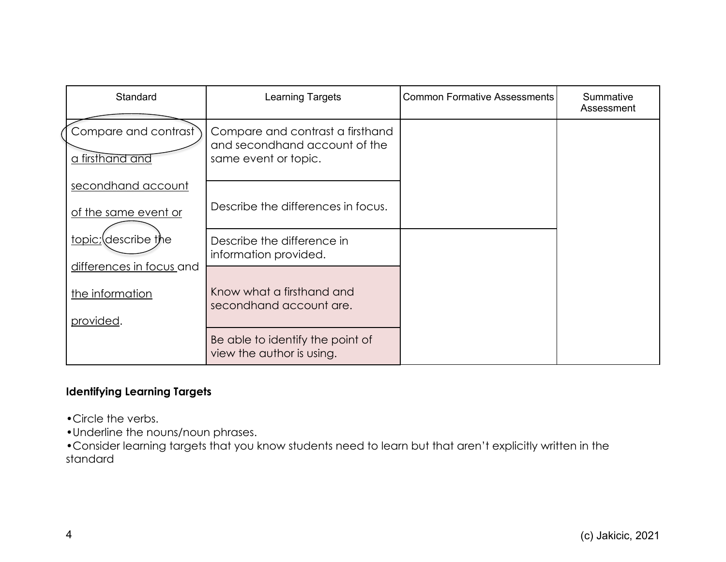| Standard                                                 | Learning Targets                                                                          | <b>Common Formative Assessments</b> | Summative<br>Assessment |
|----------------------------------------------------------|-------------------------------------------------------------------------------------------|-------------------------------------|-------------------------|
| Compare and contrast<br>a firsthand and                  | Compare and contrast a firsthand<br>and secondhand account of the<br>same event or topic. |                                     |                         |
| secondhand account<br>of the same event or               | Describe the differences in focus.                                                        |                                     |                         |
| topic; describe the                                      | Describe the difference in<br>information provided.                                       |                                     |                         |
| differences in focus and<br>the information<br>provided. | Know what a firsthand and<br>secondhand account are.                                      |                                     |                         |
|                                                          | Be able to identify the point of<br>view the author is using.                             |                                     |                         |

## **Identifying Learning Targets**

•Circle the verbs.

•Underline the nouns/noun phrases.

•Consider learning targets that you know students need to learn but that aren't explicitly written in the standard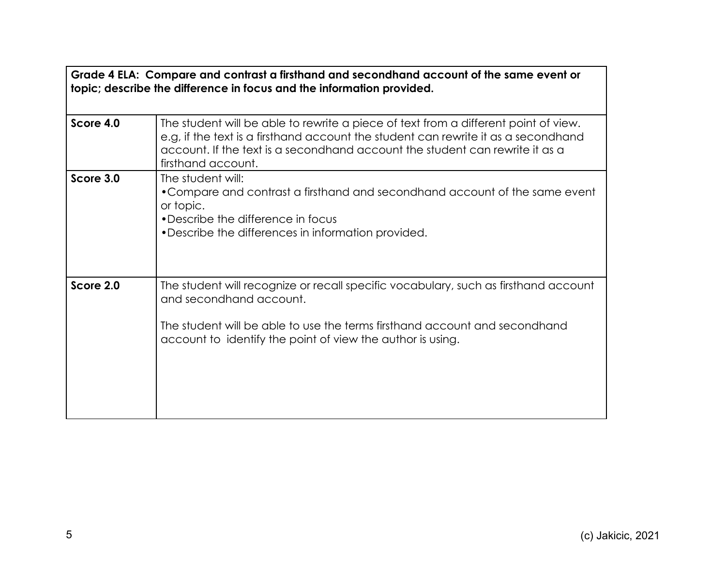**Grade 4 ELA: Compare and contrast a firsthand and secondhand account of the same event or topic; describe the difference in focus and the information provided.**

| Score 4.0 | The student will be able to rewrite a piece of text from a different point of view.<br>e.g, if the text is a firsthand account the student can rewrite it as a secondhand<br>account. If the text is a secondhand account the student can rewrite it as a<br>firsthand account. |
|-----------|---------------------------------------------------------------------------------------------------------------------------------------------------------------------------------------------------------------------------------------------------------------------------------|
| Score 3.0 | The student will:<br>• Compare and contrast a firsthand and secondhand account of the same event<br>or topic.<br>• Describe the difference in focus<br>• Describe the differences in information provided.                                                                      |
| Score 2.0 | The student will recognize or recall specific vocabulary, such as firsthand account<br>and secondhand account.<br>The student will be able to use the terms firsthand account and secondhand<br>account to identify the point of view the author is using.                      |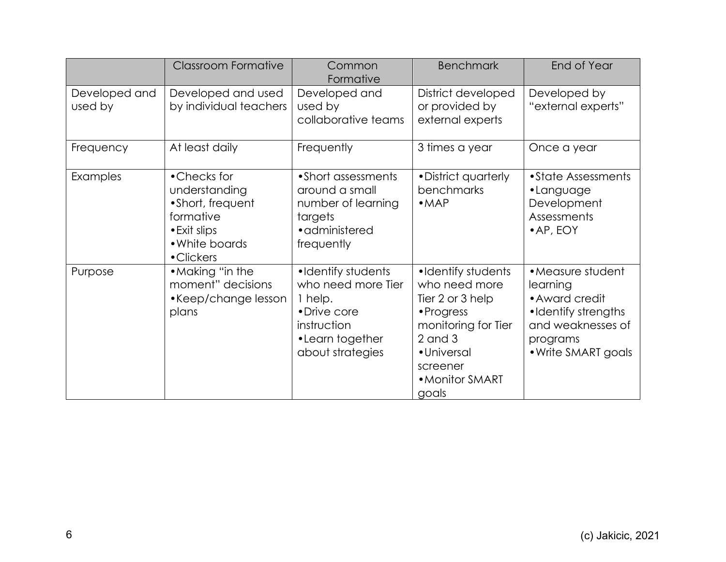|                          | <b>Classroom Formative</b>                                                                                     | Common<br>Formative                                                                                                       | <b>Benchmark</b>                                                                                                                                                   | End of Year                                                                                                                    |
|--------------------------|----------------------------------------------------------------------------------------------------------------|---------------------------------------------------------------------------------------------------------------------------|--------------------------------------------------------------------------------------------------------------------------------------------------------------------|--------------------------------------------------------------------------------------------------------------------------------|
| Developed and<br>used by | Developed and used<br>by individual teachers                                                                   | Developed and<br>used by<br>collaborative teams                                                                           | District developed<br>or provided by<br>external experts                                                                                                           | Developed by<br>"external experts"                                                                                             |
| Frequency                | At least daily                                                                                                 | Frequently                                                                                                                | 3 times a year                                                                                                                                                     | Once a year                                                                                                                    |
| Examples                 | •Checks for<br>understanding<br>• Short, frequent<br>formative<br>• Exit slips<br>• White boards<br>• Clickers | • Short assessments<br>around a small<br>number of learning<br>targets<br>• administered<br>frequently                    | • District quarterly<br>benchmarks<br>• <b>MAP</b>                                                                                                                 | • State Assessments<br>•Language<br>Development<br>Assessments<br>• AP, EOY                                                    |
| Purpose                  | • Making "in the<br>moment" decisions<br>•Keep/change lesson<br>plans                                          | •Identify students<br>who need more Tier<br>1 help.<br>• Drive core<br>instruction<br>•Learn together<br>about strategies | •Identify students<br>who need more<br>Tier 2 or 3 help<br>• Progress<br>monitoring for Tier<br>$2$ and $3$<br>• Universal<br>screener<br>• Monitor SMART<br>goals | • Measure student<br>learning<br>• Award credit<br>•Identify strengths<br>and weaknesses of<br>programs<br>• Write SMART goals |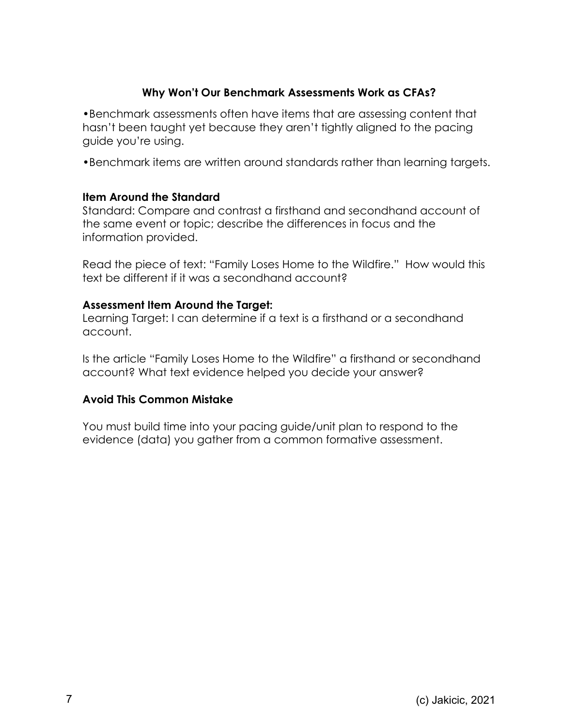## **Why Won't Our Benchmark Assessments Work as CFAs?**

•Benchmark assessments often have items that are assessing content that hasn't been taught yet because they aren't tightly aligned to the pacing guide you're using.

•Benchmark items are written around standards rather than learning targets.

#### **Item Around the Standard**

Standard: Compare and contrast a firsthand and secondhand account of the same event or topic; describe the differences in focus and the information provided.

Read the piece of text: "Family Loses Home to the Wildfire." How would this text be different if it was a secondhand account?

#### **Assessment Item Around the Target:**

Learning Target: I can determine if a text is a firsthand or a secondhand account.

Is the article "Family Loses Home to the Wildfire" a firsthand or secondhand account? What text evidence helped you decide your answer?

## **Avoid This Common Mistake**

You must build time into your pacing guide/unit plan to respond to the evidence (data) you gather from a common formative assessment.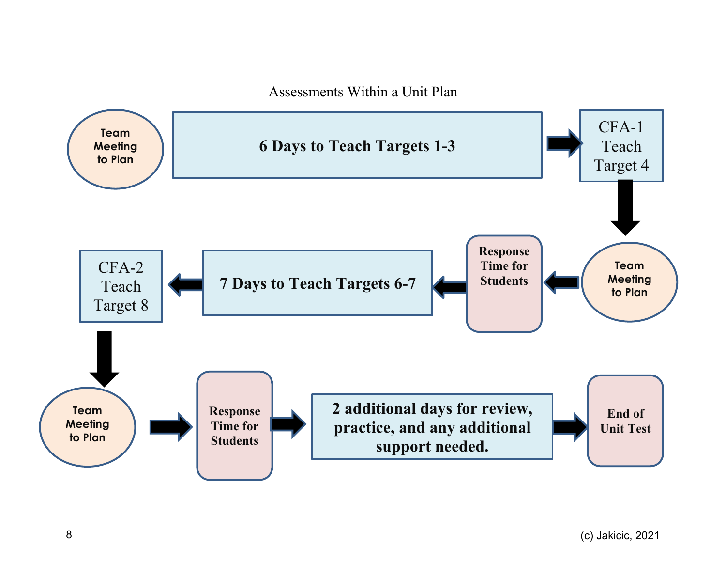Assessments Within a Unit Plan

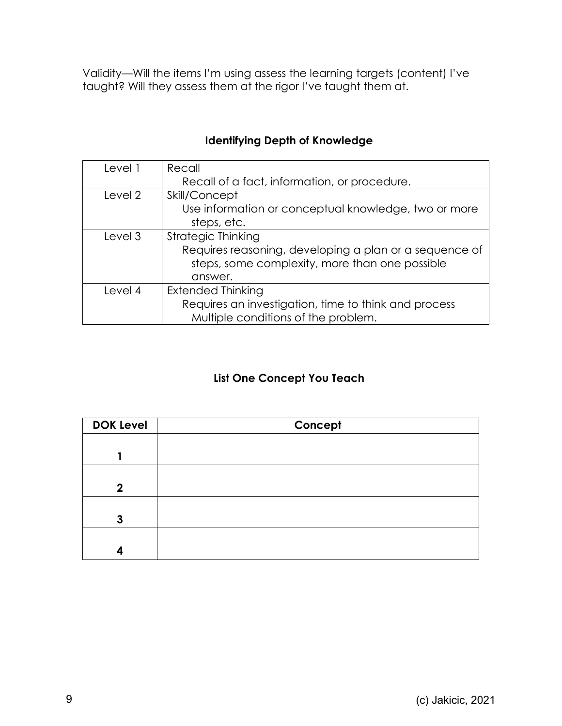Validity—Will the items I'm using assess the learning targets (content) I've taught? Will they assess them at the rigor I've taught them at.

| Level 1 | Recall                                                 |  |  |
|---------|--------------------------------------------------------|--|--|
|         | Recall of a fact, information, or procedure.           |  |  |
| Level 2 | Skill/Concept                                          |  |  |
|         | Use information or conceptual knowledge, two or more   |  |  |
|         | steps, etc.                                            |  |  |
| Level 3 | <b>Strategic Thinking</b>                              |  |  |
|         | Requires reasoning, developing a plan or a sequence of |  |  |
|         | steps, some complexity, more than one possible         |  |  |
|         | answer.                                                |  |  |
| Level 4 | <b>Extended Thinking</b>                               |  |  |
|         | Requires an investigation, time to think and process   |  |  |
|         | Multiple conditions of the problem.                    |  |  |

# **Identifying Depth of Knowledge**

## **List One Concept You Teach**

| <b>DOK Level</b> | Concept |
|------------------|---------|
|                  |         |
|                  |         |
|                  |         |
| $\mathbf{2}$     |         |
|                  |         |
| 3                |         |
|                  |         |
| 4                |         |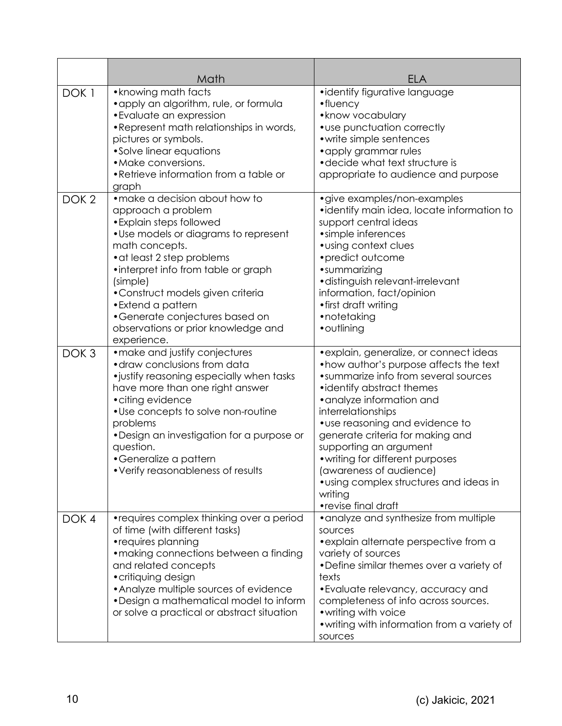|                  | Math                                                                                                                                                                                                                                                                                                                                                                           | ELA                                                                                                                                                                                                                                                                                                                                                                                                                                                        |
|------------------|--------------------------------------------------------------------------------------------------------------------------------------------------------------------------------------------------------------------------------------------------------------------------------------------------------------------------------------------------------------------------------|------------------------------------------------------------------------------------------------------------------------------------------------------------------------------------------------------------------------------------------------------------------------------------------------------------------------------------------------------------------------------------------------------------------------------------------------------------|
| DOK <sub>1</sub> | • knowing math facts<br>• apply an algorithm, rule, or formula<br>• Evaluate an expression<br>• Represent math relationships in words,<br>pictures or symbols.<br>•Solve linear equations<br>• Make conversions.<br>•Retrieve information from a table or<br>graph                                                                                                             | ·identify figurative language<br>$\bullet$ fluency<br>• know vocabulary<br>• use punctuation correctly<br>• write simple sentences<br>• apply grammar rules<br>• decide what text structure is<br>appropriate to audience and purpose                                                                                                                                                                                                                      |
| DOK <sub>2</sub> | • make a decision about how to<br>approach a problem<br>• Explain steps followed<br>. Use models or diagrams to represent<br>math concepts.<br>• at least 2 step problems<br>•interpret info from table or graph<br>(simple)<br>•Construct models given criteria<br>• Extend a pattern<br>•Generate conjectures based on<br>observations or prior knowledge and<br>experience. | • give examples/non-examples<br>•identify main idea, locate information to<br>support central ideas<br>• simple inferences<br>· using context clues<br>• predict outcome<br>•summarizing<br>·distinguish relevant-irrelevant<br>information, fact/opinion<br>• first draft writing<br>•notetaking<br>• outlining                                                                                                                                           |
| DOK <sub>3</sub> | • make and justify conjectures<br>• draw conclusions from data<br>·justify reasoning especially when tasks<br>have more than one right answer<br>• citing evidence<br>• Use concepts to solve non-routine<br>problems<br>•Design an investigation for a purpose or<br>question.<br>•Generalize a pattern<br>• Verify reasonableness of results                                 | • explain, generalize, or connect ideas<br>• how author's purpose affects the text<br>• summarize info from several sources<br>• identify abstract themes<br>• analyze information and<br>interrelationships<br>• use reasoning and evidence to<br>generate criteria for making and<br>supporting an argument<br>• writing for different purposes<br>(awareness of audience)<br>• using complex structures and ideas in<br>writing<br>• revise final draft |
| DOK <sub>4</sub> | • requires complex thinking over a period<br>of time (with different tasks)<br>• requires planning<br>• making connections between a finding<br>and related concepts<br>• critiquing design<br>• Analyze multiple sources of evidence<br>•Design a mathematical model to inform<br>or solve a practical or abstract situation                                                  | • analyze and synthesize from multiple<br>sources<br>• explain alternate perspective from a<br>variety of sources<br>•Define similar themes over a variety of<br>texts<br>• Evaluate relevancy, accuracy and<br>completeness of info across sources.<br>• writing with voice<br>• writing with information from a variety of<br>sources                                                                                                                    |